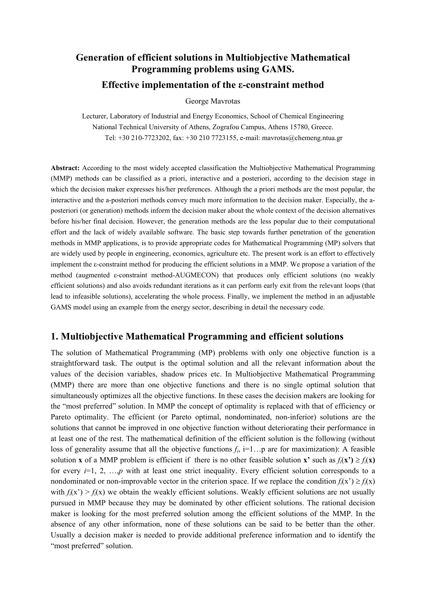# **Generation of efficient solutions in Multiobjective Mathematical Programming problems using GAMS. Effective implementation of the ε-constraint method**

George Mavrotas

Lecturer, Laboratory of Industrial and Energy Economics, School of Chemical Engineering National Technical University of Athens, Zografou Campus, Athens 15780, Greece. Tel: +30 210-7723202, fax: +30 210 7723155, e-mail: mavrotas@chemeng.ntua.gr

**Abstract:** According to the most widely accepted classification the Multiobjective Mathematical Programming (MMP) methods can be classified as a priori, interactive and a posteriori, according to the decision stage in which the decision maker expresses his/her preferences. Although the a priori methods are the most popular, the interactive and the a-posteriori methods convey much more information to the decision maker. Especially, the aposteriori (or generation) methods inform the decision maker about the whole context of the decision alternatives before his/her final decision. However, the generation methods are the less popular due to their computational effort and the lack of widely available software. The basic step towards further penetration of the generation methods in MMP applications, is to provide appropriate codes for Mathematical Programming (MP) solvers that are widely used by people in engineering, economics, agriculture etc. The present work is an effort to effectively implement the ε-constraint method for producing the efficient solutions in a MMP. We propose a variation of the method (augmented ε-constraint method-AUGMECON) that produces only efficient solutions (no weakly efficient solutions) and also avoids redundant iterations as it can perform early exit from the relevant loops (that lead to infeasible solutions), accelerating the whole process. Finally, we implement the method in an adjustable GAMS model using an example from the energy sector, describing in detail the necessary code.

# **1. Multiobjective Mathematical Programming and efficient solutions**

The solution of Mathematical Programming (MP) problems with only one objective function is a straightforward task. The output is the optimal solution and all the relevant information about the values of the decision variables, shadow prices etc. In Multiobjective Mathematical Programming (MMP) there are more than one objective functions and there is no single optimal solution that simultaneously optimizes all the objective functions. In these cases the decision makers are looking for the "most preferred" solution. In MMP the concept of optimality is replaced with that of efficiency or Pareto optimality. The efficient (or Pareto optimal, nondominated, non-inferior) solutions are the solutions that cannot be improved in one objective function without deteriorating their performance in at least one of the rest. The mathematical definition of the efficient solution is the following (without loss of generality assume that all the objective functions  $f_i$ , i=1...p are for maximization): A feasible solution **x** of a MMP problem is efficient if there is no other feasible solution **x**' such as  $f_i(\mathbf{x}) \ge f_i(\mathbf{x})$ for every  $i=1, 2, ..., p$  with at least one strict inequality. Every efficient solution corresponds to a nondominated or non-improvable vector in the criterion space. If we replace the condition  $f_i(x') \ge f_i(x)$ with  $f_i(x') > f_i(x)$  we obtain the weakly efficient solutions. Weakly efficient solutions are not usually pursued in MMP because they may be dominated by other efficient solutions. The rational decision maker is looking for the most preferred solution among the efficient solutions of the MMP. In the absence of any other information, none of these solutions can be said to be better than the other. Usually a decision maker is needed to provide additional preference information and to identify the "most preferred" solution.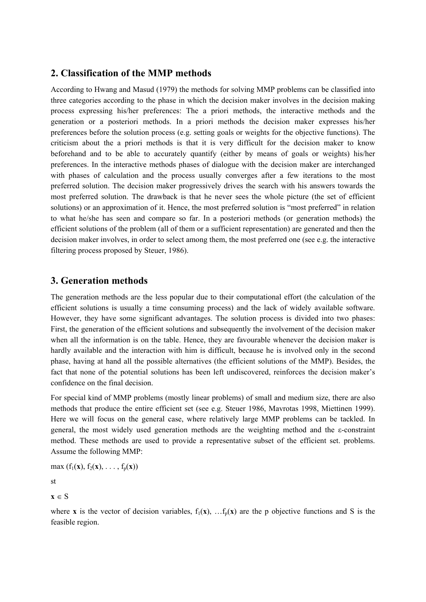# **2. Classification of the MMP methods**

According to Hwang and Masud (1979) the methods for solving MMP problems can be classified into three categories according to the phase in which the decision maker involves in the decision making process expressing his/her preferences: The a priori methods, the interactive methods and the generation or a posteriori methods. In a priori methods the decision maker expresses his/her preferences before the solution process (e.g. setting goals or weights for the objective functions). The criticism about the a priori methods is that it is very difficult for the decision maker to know beforehand and to be able to accurately quantify (either by means of goals or weights) his/her preferences. In the interactive methods phases of dialogue with the decision maker are interchanged with phases of calculation and the process usually converges after a few iterations to the most preferred solution. The decision maker progressively drives the search with his answers towards the most preferred solution. The drawback is that he never sees the whole picture (the set of efficient solutions) or an approximation of it. Hence, the most preferred solution is "most preferred" in relation to what he/she has seen and compare so far. In a posteriori methods (or generation methods) the efficient solutions of the problem (all of them or a sufficient representation) are generated and then the decision maker involves, in order to select among them, the most preferred one (see e.g. the interactive filtering process proposed by Steuer, 1986).

# **3. Generation methods**

The generation methods are the less popular due to their computational effort (the calculation of the efficient solutions is usually a time consuming process) and the lack of widely available software. However, they have some significant advantages. The solution process is divided into two phases: First, the generation of the efficient solutions and subsequently the involvement of the decision maker when all the information is on the table. Hence, they are favourable whenever the decision maker is hardly available and the interaction with him is difficult, because he is involved only in the second phase, having at hand all the possible alternatives (the efficient solutions of the MMP). Besides, the fact that none of the potential solutions has been left undiscovered, reinforces the decision maker's confidence on the final decision.

For special kind of MMP problems (mostly linear problems) of small and medium size, there are also methods that produce the entire efficient set (see e.g. Steuer 1986, Mavrotas 1998, Miettinen 1999). Here we will focus on the general case, where relatively large MMP problems can be tackled. In general, the most widely used generation methods are the weighting method and the ε-constraint method. These methods are used to provide a representative subset of the efficient set. problems. Assume the following MMP:

max  $(f_1(\mathbf{x}), f_2(\mathbf{x}), \ldots, f_p(\mathbf{x}))$ 

st

**x** ∈ S

where **x** is the vector of decision variables,  $f_1(x)$ , ...  $f_p(x)$  are the p objective functions and S is the feasible region.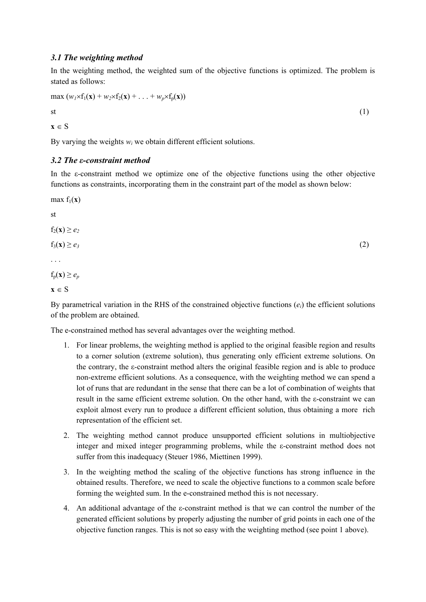#### *3.1 The weighting method*

In the weighting method, the weighted sum of the objective functions is optimized. The problem is stated as follows:

$$
\max (w_1 \times f_1(\mathbf{x}) + w_2 \times f_2(\mathbf{x}) + \ldots + w_p \times f_p(\mathbf{x}))
$$
  
st (1)

$$
\mathbf{x} \in \mathbf{S}
$$

By varying the weights  $w_i$  we obtain different efficient solutions.

#### *3.2 The ε-constraint method*

In the ε-constraint method we optimize one of the objective functions using the other objective functions as constraints, incorporating them in the constraint part of the model as shown below:

max  $f_1(\mathbf{x})$ 

st

| $f_2(\mathbf{x}) \geq e_2$ |     |
|----------------------------|-----|
| $f_3(\mathbf{x}) \geq e_3$ | (2) |

$$
\ldots
$$

 $f_p(\mathbf{x}) \geq e_p$ 

**x** ∈ S

By parametrical variation in the RHS of the constrained objective functions  $(e_i)$  the efficient solutions of the problem are obtained.

The e-constrained method has several advantages over the weighting method.

- 1. For linear problems, the weighting method is applied to the original feasible region and results to a corner solution (extreme solution), thus generating only efficient extreme solutions. On the contrary, the ε-constraint method alters the original feasible region and is able to produce non-extreme efficient solutions. As a consequence, with the weighting method we can spend a lot of runs that are redundant in the sense that there can be a lot of combination of weights that result in the same efficient extreme solution. On the other hand, with the ε-constraint we can exploit almost every run to produce a different efficient solution, thus obtaining a more rich representation of the efficient set.
- 2. The weighting method cannot produce unsupported efficient solutions in multiobjective integer and mixed integer programming problems, while the ε-constraint method does not suffer from this inadequacy (Steuer 1986, Miettinen 1999).
- 3. In the weighting method the scaling of the objective functions has strong influence in the obtained results. Therefore, we need to scale the objective functions to a common scale before forming the weighted sum. In the e-constrained method this is not necessary.
- 4. An additional advantage of the ε-constraint method is that we can control the number of the generated efficient solutions by properly adjusting the number of grid points in each one of the objective function ranges. This is not so easy with the weighting method (see point 1 above).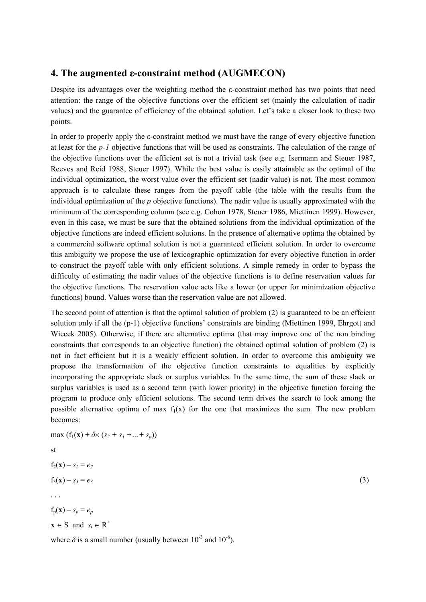# **4. The augmented ε-constraint method (AUGMECON)**

Despite its advantages over the weighting method the ε-constraint method has two points that need attention: the range of the objective functions over the efficient set (mainly the calculation of nadir values) and the guarantee of efficiency of the obtained solution. Let's take a closer look to these two points.

In order to properly apply the ε-constraint method we must have the range of every objective function at least for the *p-1* objective functions that will be used as constraints. The calculation of the range of the objective functions over the efficient set is not a trivial task (see e.g. Isermann and Steuer 1987, Reeves and Reid 1988, Steuer 1997). While the best value is easily attainable as the optimal of the individual optimization, the worst value over the efficient set (nadir value) is not. The most common approach is to calculate these ranges from the payoff table (the table with the results from the individual optimization of the *p* objective functions). The nadir value is usually approximated with the minimum of the corresponding column (see e.g. Cohon 1978, Steuer 1986, Miettinen 1999). However, even in this case, we must be sure that the obtained solutions from the individual optimization of the objective functions are indeed efficient solutions. In the presence of alternative optima the obtained by a commercial software optimal solution is not a guaranteed efficient solution. In order to overcome this ambiguity we propose the use of lexicographic optimization for every objective function in order to construct the payoff table with only efficient solutions. A simple remedy in order to bypass the difficulty of estimating the nadir values of the objective functions is to define reservation values for the objective functions. The reservation value acts like a lower (or upper for minimization objective functions) bound. Values worse than the reservation value are not allowed.

The second point of attention is that the optimal solution of problem (2) is guaranteed to be an effcient solution only if all the (p-1) objective functions' constraints are binding (Miettinen 1999, Ehrgott and Wiecek 2005). Otherwise, if there are alternative optima (that may improve one of the non binding constraints that corresponds to an objective function) the obtained optimal solution of problem (2) is not in fact efficient but it is a weakly efficient solution. In order to overcome this ambiguity we propose the transformation of the objective function constraints to equalities by explicitly incorporating the appropriate slack or surplus variables. In the same time, the sum of these slack or surplus variables is used as a second term (with lower priority) in the objective function forcing the program to produce only efficient solutions. The second term drives the search to look among the possible alternative optima of max  $f_1(x)$  for the one that maximizes the sum. The new problem becomes:

$$
\max (f_1(\mathbf{x}) + \delta \times (s_2 + s_3 + \dots + s_p))
$$
  
st  

$$
f_2(\mathbf{x}) - s_2 = e_2
$$
  

$$
f_3(\mathbf{x}) - s_3 = e_3
$$
  

$$
\dots
$$
  

$$
f_p(\mathbf{x}) - s_p = e_p
$$
  

$$
\mathbf{x} \in S \text{ and } s_i \in R^+
$$
 (3)

where  $\delta$  is a small number (usually between  $10^{-3}$  and  $10^{-6}$ ).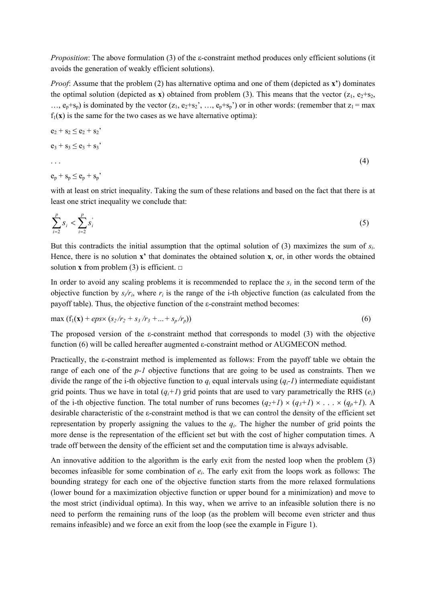*Proposition*: The above formulation (3) of the ε-constraint method produces only efficient solutions (it avoids the generation of weakly efficient solutions).

*Proof*: Assume that the problem (2) has alternative optima and one of them (depicted as **x'**) dominates the optimal solution (depicted as **x**) obtained from problem (3). This means that the vector  $(z_1, z_2+s_2, z_3)$  $..., e_p + s_p$ ) is dominated by the vector  $(z_1, e_2 + s_2, ..., e_p + s_p)$  or in other words: (remember that  $z_1 = max$  $f_1(x)$  is the same for the two cases as we have alternative optima):

$$
e_2 + s_2 \le e_2 + s_2
$$
  
\n $e_3 + s_3 \le e_3 + s_3$   
\n...  
\n $e_p + s_p \le e_p + s_p$   
\n(4)

with at least on strict inequality. Taking the sum of these relations and based on the fact that there is at least one strict inequality we conclude that:

$$
\sum_{i=2}^{p} s_i < \sum_{i=2}^{p} s_i \tag{5}
$$

But this contradicts the initial assumption that the optimal solution of (3) maximizes the sum of *si*. Hence, there is no solution **x'** that dominates the obtained solution **x**, or, in other words the obtained solution **x** from problem (3) is efficient.  $\Box$ 

In order to avoid any scaling problems it is recommended to replace the  $s_i$  in the second term of the objective function by  $s_i/r_i$ , where  $r_i$  is the range of the i-th objective function (as calculated from the payoff table). Thus, the objective function of the ε-constraint method becomes:

$$
\max (f_1(\mathbf{x}) + \varrho_{\text{PS}} \times (s_2/r_2 + s_3/r_3 + ... + s_p/r_p))
$$
\n(6)

The proposed version of the  $\varepsilon$ -constraint method that corresponds to model (3) with the objective function (6) will be called hereafter augmented ε-constraint method or AUGMECON method.

Practically, the ε-constraint method is implemented as follows: From the payoff table we obtain the range of each one of the *p-1* objective functions that are going to be used as constraints. Then we divide the range of the i-th objective function to  $q_i$  equal intervals using  $(q_i-1)$  intermediate equidistant grid points. Thus we have in total  $(q_i+1)$  grid points that are used to vary parametrically the RHS  $(e_i)$ of the i-th objective function. The total number of runs becomes  $(q_2+1) \times (q_3+1) \times ... \times (q_p+1)$ . A desirable characteristic of the ε-constraint method is that we can control the density of the efficient set representation by properly assigning the values to the  $q_i$ . The higher the number of grid points the more dense is the representation of the efficient set but with the cost of higher computation times. A trade off between the density of the efficient set and the computation time is always advisable.

An innovative addition to the algorithm is the early exit from the nested loop when the problem (3) becomes infeasible for some combination of *ei*. The early exit from the loops work as follows: The bounding strategy for each one of the objective function starts from the more relaxed formulations (lower bound for a maximization objective function or upper bound for a minimization) and move to the most strict (individual optima). In this way, when we arrive to an infeasible solution there is no need to perform the remaining runs of the loop (as the problem will become even stricter and thus remains infeasible) and we force an exit from the loop (see the example in Figure 1).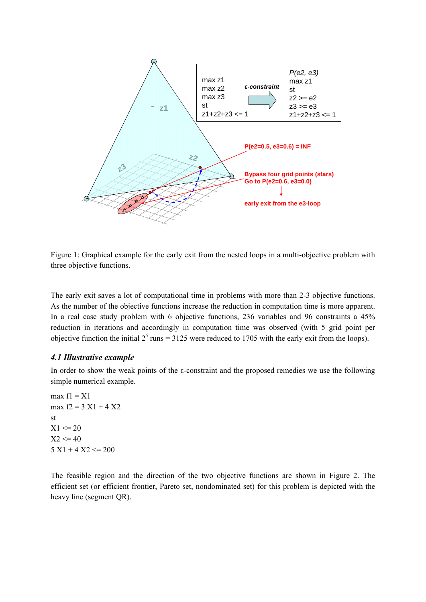

Figure 1: Graphical example for the early exit from the nested loops in a multi-objective problem with three objective functions.

The early exit saves a lot of computational time in problems with more than 2-3 objective functions. As the number of the objective functions increase the reduction in computation time is more apparent. In a real case study problem with 6 objective functions, 236 variables and 96 constraints a 45% reduction in iterations and accordingly in computation time was observed (with 5 grid point per objective function the initial  $2^5$  runs = 3125 were reduced to 1705 with the early exit from the loops).

#### *4.1 Illustrative example*

In order to show the weak points of the ε-constraint and the proposed remedies we use the following simple numerical example.

max  $f1 = X1$ max  $f2 = 3 X1 + 4 X2$ st  $X1 \le 20$  $X2 \le 40$  $5 X1 + 4 X2 \le 200$ 

The feasible region and the direction of the two objective functions are shown in Figure 2. The efficient set (or efficient frontier, Pareto set, nondominated set) for this problem is depicted with the heavy line (segment QR).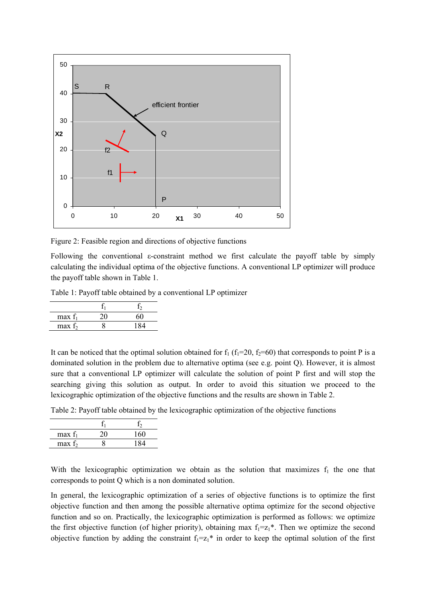

Figure 2: Feasible region and directions of objective functions

Following the conventional ε-constraint method we first calculate the payoff table by simply calculating the individual optima of the objective functions. A conventional LP optimizer will produce the payoff table shown in Table 1.

Table 1: Payoff table obtained by a conventional LP optimizer

| $max f_1$          |  |
|--------------------|--|
| max f <sub>2</sub> |  |

It can be noticed that the optimal solution obtained for  $f_1 (f_1=20, f_2=60)$  that corresponds to point P is a dominated solution in the problem due to alternative optima (see e.g. point Q). However, it is almost sure that a conventional LP optimizer will calculate the solution of point P first and will stop the searching giving this solution as output. In order to avoid this situation we proceed to the lexicographic optimization of the objective functions and the results are shown in Table 2.

Table 2: Payoff table obtained by the lexicographic optimization of the objective functions

| $max f_1$          | 60 |
|--------------------|----|
| max f <sub>2</sub> |    |

With the lexicographic optimization we obtain as the solution that maximizes  $f_1$  the one that corresponds to point Q which is a non dominated solution.

In general, the lexicographic optimization of a series of objective functions is to optimize the first objective function and then among the possible alternative optima optimize for the second objective function and so on. Practically, the lexicographic optimization is performed as follows: we optimize the first objective function (of higher priority), obtaining max  $f_1 = z_1^*$ . Then we optimize the second objective function by adding the constraint  $f_1 = z_1^*$  in order to keep the optimal solution of the first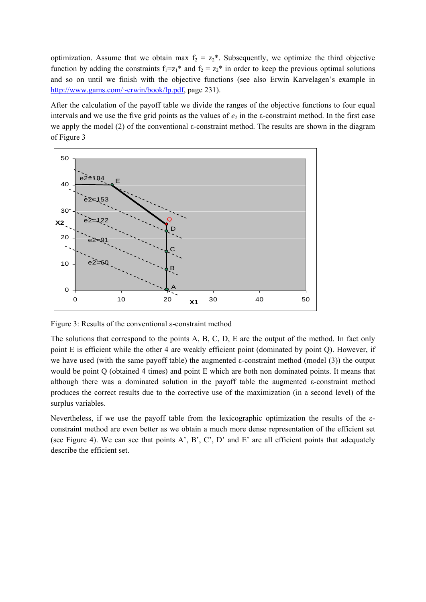optimization. Assume that we obtain max  $f_2 = z_2^*$ . Subsequently, we optimize the third objective function by adding the constraints  $f_1 = z_1^*$  and  $f_2 = z_2^*$  in order to keep the previous optimal solutions and so on until we finish with the objective functions (see also Erwin Karvelagen's example in http://www.gams.com/~erwin/book/lp.pdf, page 231).

After the calculation of the payoff table we divide the ranges of the objective functions to four equal intervals and we use the five grid points as the values of  $e_2$  in the  $\varepsilon$ -constraint method. In the first case we apply the model (2) of the conventional ε-constraint method. The results are shown in the diagram of Figure 3



Figure 3: Results of the conventional ε-constraint method

The solutions that correspond to the points A, B, C, D, E are the output of the method. In fact only point E is efficient while the other 4 are weakly efficient point (dominated by point Q). However, if we have used (with the same payoff table) the augmented  $\varepsilon$ -constraint method (model (3)) the output would be point Q (obtained 4 times) and point E which are both non dominated points. It means that although there was a dominated solution in the payoff table the augmented ε-constraint method produces the correct results due to the corrective use of the maximization (in a second level) of the surplus variables.

Nevertheless, if we use the payoff table from the lexicographic optimization the results of the εconstraint method are even better as we obtain a much more dense representation of the efficient set (see Figure 4). We can see that points A', B', C', D' and E' are all efficient points that adequately describe the efficient set.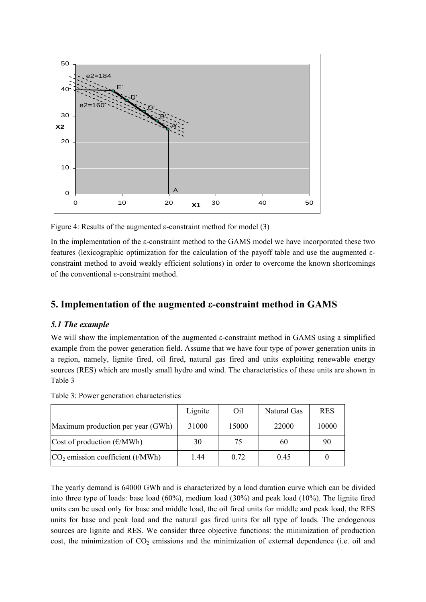

Figure 4: Results of the augmented ε-constraint method for model (3)

In the implementation of the ε-constraint method to the GAMS model we have incorporated these two features (lexicographic optimization for the calculation of the payoff table and use the augmented εconstraint method to avoid weakly efficient solutions) in order to overcome the known shortcomings of the conventional ε-constraint method.

# **5. Implementation of the augmented ε-constraint method in GAMS**

#### *5.1 The example*

We will show the implementation of the augmented ε-constraint method in GAMS using a simplified example from the power generation field. Assume that we have four type of power generation units in a region, namely, lignite fired, oil fired, natural gas fired and units exploiting renewable energy sources (RES) which are mostly small hydro and wind. The characteristics of these units are shown in Table 3

|                                     | Lignite | Oil   | Natural Gas | <b>RES</b> |
|-------------------------------------|---------|-------|-------------|------------|
| Maximum production per year (GWh)   | 31000   | 15000 | 22000       | 10000      |
| Cost of production $(\epsilon/MWh)$ | 30      | 75    | 60          | 90         |
| $CO2$ emission coefficient (t/MWh)  | 1.44    | 0.72  | 0.45        |            |

Table 3: Power generation characteristics

The yearly demand is 64000 GWh and is characterized by a load duration curve which can be divided into three type of loads: base load (60%), medium load (30%) and peak load (10%). The lignite fired units can be used only for base and middle load, the oil fired units for middle and peak load, the RES units for base and peak load and the natural gas fired units for all type of loads. The endogenous sources are lignite and RES. We consider three objective functions: the minimization of production cost, the minimization of  $CO<sub>2</sub>$  emissions and the minimization of external dependence (i.e. oil and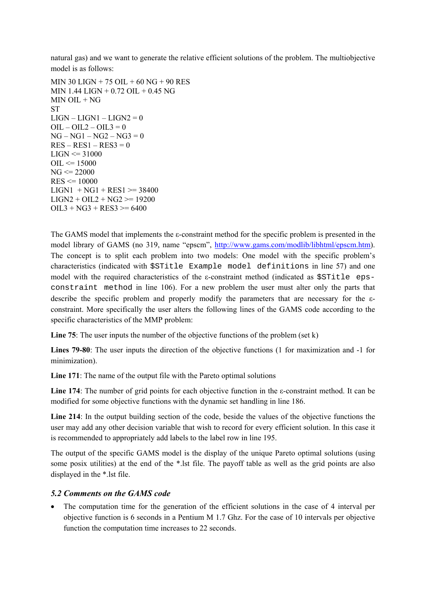natural gas) and we want to generate the relative efficient solutions of the problem. The multiobjective model is as follows:

```
MIN 30 LIGN + 75 OIL + 60 NG + 90 RES 
MIN 1.44 LIGN + 0.72 OIL + 0.45 NG 
MIN OIL + NGST 
LIGN - LIGN1 - LIGN2 = 0OIL - OIL2 - OIL3 = 0NG - NG1 - NG2 - NG3 = 0RES - RES1 - RES3 = 0LIGN \le 31000OIL \le 15000NG \le 22000RES \le 10000LIGN1 + NG1 + RES1 \geq 38400LIGN2 + OIL2 + NG2 \geq 19200OIL3 + NG3 + RES3 \geq 6400
```
The GAMS model that implements the ε-constraint method for the specific problem is presented in the model library of GAMS (no 319, name "epscm", http://www.gams.com/modlib/libhtml/epscm.htm). The concept is to split each problem into two models: One model with the specific problem's characteristics (indicated with \$STitle Example model definitions in line 57) and one model with the required characteristics of the ε-constraint method (indicated as \$STitle epsconstraint method in line 106). For a new problem the user must alter only the parts that describe the specific problem and properly modify the parameters that are necessary for the εconstraint. More specifically the user alters the following lines of the GAMS code according to the specific characteristics of the MMP problem:

**Line 75**: The user inputs the number of the objective functions of the problem (set k)

**Lines 79-80**: The user inputs the direction of the objective functions (1 for maximization and -1 for minimization).

**Line 171**: The name of the output file with the Pareto optimal solutions

**Line 174**: The number of grid points for each objective function in the ε-constraint method. It can be modified for some objective functions with the dynamic set handling in line 186.

**Line 214**: In the output building section of the code, beside the values of the objective functions the user may add any other decision variable that wish to record for every efficient solution. In this case it is recommended to appropriately add labels to the label row in line 195.

The output of the specific GAMS model is the display of the unique Pareto optimal solutions (using some posix utilities) at the end of the \*.lst file. The payoff table as well as the grid points are also displayed in the \*.lst file.

#### *5.2 Comments on the GAMS code*

The computation time for the generation of the efficient solutions in the case of 4 interval per objective function is 6 seconds in a Pentium M 1.7 Ghz. For the case of 10 intervals per objective function the computation time increases to 22 seconds.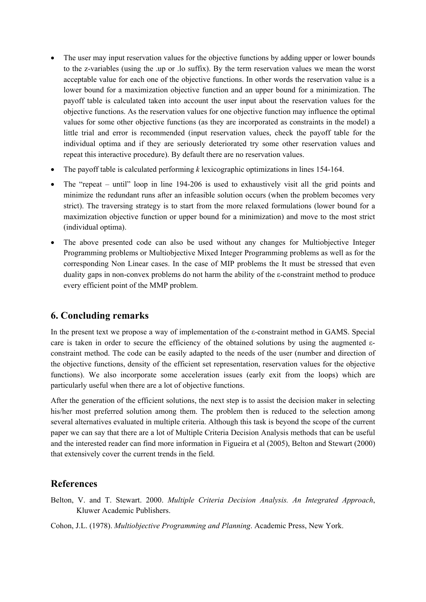- The user may input reservation values for the objective functions by adding upper or lower bounds to the z-variables (using the .up or .lo suffix). By the term reservation values we mean the worst acceptable value for each one of the objective functions. In other words the reservation value is a lower bound for a maximization objective function and an upper bound for a minimization. The payoff table is calculated taken into account the user input about the reservation values for the objective functions. As the reservation values for one objective function may influence the optimal values for some other objective functions (as they are incorporated as constraints in the model) a little trial and error is recommended (input reservation values, check the payoff table for the individual optima and if they are seriously deteriorated try some other reservation values and repeat this interactive procedure). By default there are no reservation values.
- The payoff table is calculated performing *k* lexicographic optimizations in lines 154-164.
- The "repeat until" loop in line 194-206 is used to exhaustively visit all the grid points and minimize the redundant runs after an infeasible solution occurs (when the problem becomes very strict). The traversing strategy is to start from the more relaxed formulations (lower bound for a maximization objective function or upper bound for a minimization) and move to the most strict (individual optima).
- The above presented code can also be used without any changes for Multiobjective Integer Programming problems or Multiobjective Mixed Integer Programming problems as well as for the corresponding Non Linear cases. In the case of MIP problems the It must be stressed that even duality gaps in non-convex problems do not harm the ability of the ε-constraint method to produce every efficient point of the MMP problem.

# **6. Concluding remarks**

In the present text we propose a way of implementation of the ε-constraint method in GAMS. Special care is taken in order to secure the efficiency of the obtained solutions by using the augmented εconstraint method. The code can be easily adapted to the needs of the user (number and direction of the objective functions, density of the efficient set representation, reservation values for the objective functions). We also incorporate some acceleration issues (early exit from the loops) which are particularly useful when there are a lot of objective functions.

After the generation of the efficient solutions, the next step is to assist the decision maker in selecting his/her most preferred solution among them. The problem then is reduced to the selection among several alternatives evaluated in multiple criteria. Although this task is beyond the scope of the current paper we can say that there are a lot of Multiple Criteria Decision Analysis methods that can be useful and the interested reader can find more information in Figueira et al (2005), Belton and Stewart (2000) that extensively cover the current trends in the field.

# **References**

Belton, V. and T. Stewart. 2000. *Multiple Criteria Decision Analysis. An Integrated Approach*, Kluwer Academic Publishers.

Cohon, J.L. (1978). *Multiobjective Programming and Planning*. Academic Press, New York.